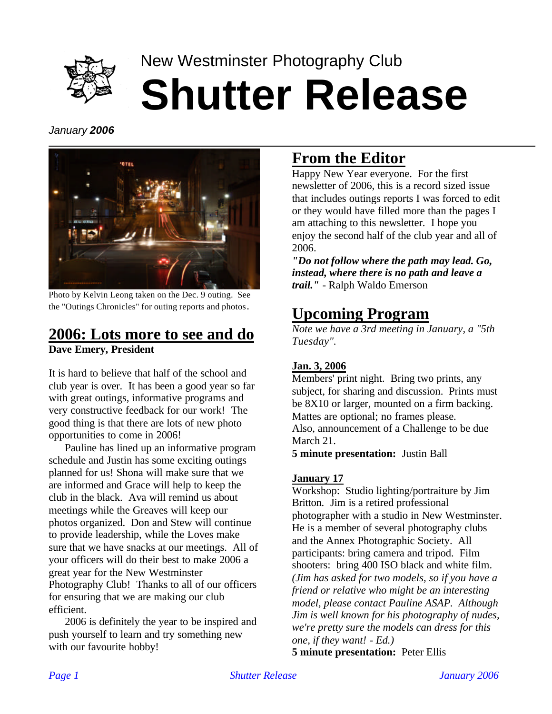

# New Westminster Photography Club **Shutter Release**

*January 2006*



Photo by Kelvin Leong taken on the Dec. 9 outing. See the "Outings Chronicles" for outing reports and photos.

# **2006: Lots more to see and do**

**Dave Emery, President**

It is hard to believe that half of the school and club year is over. It has been a good year so far with great outings, informative programs and very constructive feedback for our work! The good thing is that there are lots of new photo opportunities to come in 2006!

Pauline has lined up an informative program schedule and Justin has some exciting outings planned for us! Shona will make sure that we are informed and Grace will help to keep the club in the black. Ava will remind us about meetings while the Greaves will keep our photos organized. Don and Stew will continue to provide leadership, while the Loves make sure that we have snacks at our meetings. All of your officers will do their best to make 2006 a great year for the New Westminster Photography Club! Thanks to all of our officers for ensuring that we are making our club efficient.

2006 is definitely the year to be inspired and push yourself to learn and try something new with our favourite hobby!

# **From the Editor**

Happy New Year everyone. For the first newsletter of 2006, this is a record sized issue that includes outings reports I was forced to edit or they would have filled more than the pages I am attaching to this newsletter. I hope you enjoy the second half of the club year and all of 2006.

*"Do not follow where the path may lead. Go, instead, where there is no path and leave a trail." -* Ralph Waldo Emerson

# **Upcoming Program**

*Note we have a 3rd meeting in January, a "5th Tuesday".*

### **Jan. 3, 2006**

Members' print night. Bring two prints, any subject, for sharing and discussion. Prints must be 8X10 or larger, mounted on a firm backing. Mattes are optional; no frames please. Also, announcement of a Challenge to be due March 21.

**5 minute presentation:** Justin Ball

### **January 17**

Workshop: Studio lighting/portraiture by Jim Britton. Jim is a retired professional photographer with a studio in New Westminster. He is a member of several photography clubs and the Annex Photographic Society. All participants: bring camera and tripod. Film shooters: bring 400 ISO black and white film. *(Jim has asked for two models, so if you have a friend or relative who might be an interesting model, please contact Pauline ASAP. Although Jim is well known for his photography of nudes, we're pretty sure the models can dress for this one, if they want! - Ed.)*

**5 minute presentation:** Peter Ellis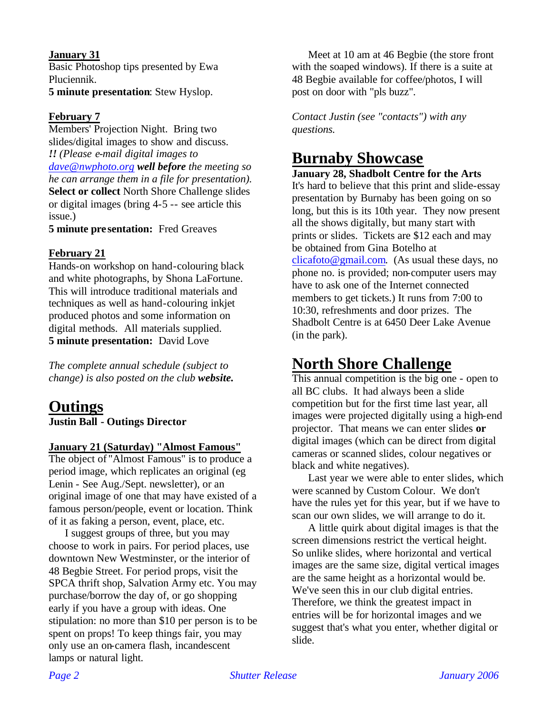#### **January 31**

Basic Photoshop tips presented by Ewa Pluciennik.

**5 minute presentation**: Stew Hyslop.

### **February 7**

Members' Projection Night. Bring two slides/digital images to show and discuss. *!! (Please e-mail digital images to dave@nwphoto.org well before the meeting so he can arrange them in a file for presentation).* **Select or collect** North Shore Challenge slides or digital images (bring 4-5 -- see article this issue.)

**5 minute pre sentation:** Fred Greaves

#### **February 21**

Hands-on workshop on hand-colouring black and white photographs, by Shona LaFortune. This will introduce traditional materials and techniques as well as hand-colouring inkjet produced photos and some information on digital methods. All materials supplied. **5 minute presentation:** David Love

*The complete annual schedule (subject to change) is also posted on the club website.*

### **Outings Justin Ball - Outings Director**

#### **January 21 (Saturday) "Almost Famous"**

The object of "Almost Famous" is to produce a period image, which replicates an original (eg Lenin - See Aug./Sept. newsletter), or an original image of one that may have existed of a famous person/people, event or location. Think of it as faking a person, event, place, etc.

I suggest groups of three, but you may choose to work in pairs. For period places, use downtown New Westminster, or the interior of 48 Begbie Street. For period props, visit the SPCA thrift shop, Salvation Army etc. You may purchase/borrow the day of, or go shopping early if you have a group with ideas. One stipulation: no more than \$10 per person is to be spent on props! To keep things fair, you may only use an on-camera flash, incandescent lamps or natural light.

Meet at 10 am at 46 Begbie (the store front with the soaped windows). If there is a suite at 48 Begbie available for coffee/photos, I will post on door with "pls buzz".

*Contact Justin (see "contacts") with any questions.*

## **Burnaby Showcase**

### **January 28, Shadbolt Centre for the Arts**

It's hard to believe that this print and slide-essay presentation by Burnaby has been going on so long, but this is its 10th year. They now present all the shows digitally, but many start with prints or slides. Tickets are \$12 each and may be obtained from Gina Botelho at  $clica foto@gmail.com.$  (As usual these days, no phone no. is provided; non-computer users may have to ask one of the Internet connected members to get tickets.) It runs from 7:00 to 10:30, refreshments and door prizes. The Shadbolt Centre is at 6450 Deer Lake Avenue (in the park).

## **North Shore Challenge**

This annual competition is the big one - open to all BC clubs. It had always been a slide competition but for the first time last year, all images were projected digitally using a high-end projector. That means we can enter slides **or**  digital images (which can be direct from digital cameras or scanned slides, colour negatives or black and white negatives).

Last year we were able to enter slides, which were scanned by Custom Colour. We don't have the rules yet for this year, but if we have to scan our own slides, we will arrange to do it.

A little quirk about digital images is that the screen dimensions restrict the vertical height. So unlike slides, where horizontal and vertical images are the same size, digital vertical images are the same height as a horizontal would be. We've seen this in our club digital entries. Therefore, we think the greatest impact in entries will be for horizontal images and we suggest that's what you enter, whether digital or slide.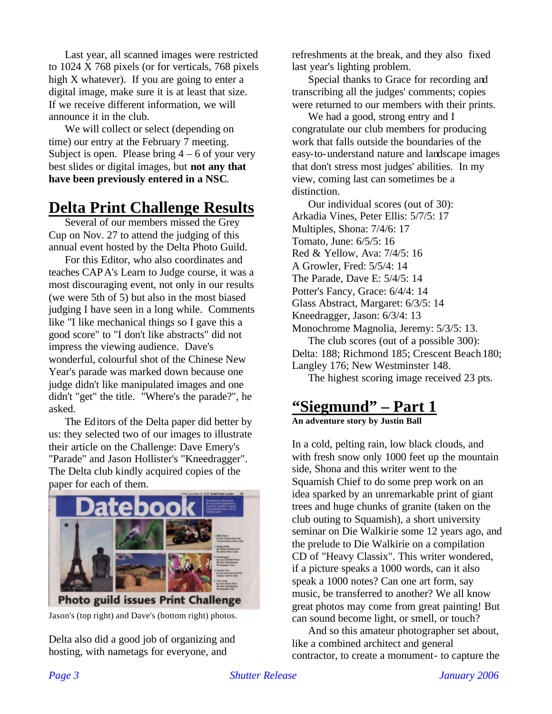Last year, all scanned images were restricted to 1024 X 768 pixels (or for verticals, 768 pixels high X whatever). If you are going to enter a digital image, make sure it is at least that size. If we receive different information, we will announce it in the club.

We will collect or select (depending on time) our entry at the February 7 meeting. Subject is open. Please bring  $4 - 6$  of your very best slides or digital images, but **not any that have been previously entered in a NSC**.

# **Delta Print Challenge Results**

Several of our members missed the Grey Cup on Nov. 27 to attend the judging of this annual event hosted by the Delta Photo Guild.

For this Editor, who also coordinates and teaches CAPA's Learn to Judge course, it was a most discouraging event, not only in our results (we were 5th of 5) but also in the most biased judging I have seen in a long while. Comments like "I like mechanical things so I gave this a good score" to "I don't like abstracts" did not impress the viewing audience. Dave's wonderful, colourful shot of the Chinese New Year's parade was marked down because one judge didn't like manipulated images and one didn't "get" the title. "Where's the parade?", he asked.

The Editors of the Delta paper did better by us: they selected two of our images to illustrate their article on the Challenge: Dave Emery's "Parade" and Jason Hollister's "Kneedragger". The Delta club kindly acquired copies of the paper for each of them.



Jason's (top right) and Dave's (bottom right) photos.

Delta also did a good job of organizing and hosting, with nametags for everyone, and

refreshments at the break, and they also fixed last year's lighting problem.

Special thanks to Grace for recording and transcribing all the judges' comments; copies were returned to our members with their prints.

We had a good, strong entry and I congratulate our club members for producing work that falls outside the boundaries of the easy-to-understand nature and landscape images that don't stress most judges' abilities. In my view, coming last can sometimes be a distinction.

Our individual scores (out of 30): Arkadia Vines, Peter Ellis: 5/7/5: 17 Multiples, Shona: 7/4/6: 17 Tomato, June: 6/5/5: 16 Red & Yellow, Ava: 7/4/5: 16 A Growler, Fred: 5/5/4: 14 The Parade, Dave E: 5/4/5: 14 Potter's Fancy, Grace: 6/4/4: 14 Glass Abstract, Margaret: 6/3/5: 14 Kneedragger, Jason: 6/3/4: 13 Monochrome Magnolia, Jeremy: 5/3/5: 13. The club scores (out of a possible 300): Delta: 188; Richmond 185; Crescent Beach 180; Langley 176; New Westminster 148. The highest scoring image received 23 pts.

### **"Siegmund" – Part 1 An adventure story by Justin Ball**

In a cold, pelting rain, low black clouds, and with fresh snow only 1000 feet up the mountain side, Shona and this writer went to the Squamish Chief to do some prep work on an idea sparked by an unremarkable print of giant trees and huge chunks of granite (taken on the club outing to Squamish), a short university seminar on Die Walkirie some 12 years ago, and the prelude to Die Walkirie on a compilation CD of "Heavy Classix". This writer wondered, if a picture speaks a 1000 words, can it also speak a 1000 notes? Can one art form, say music, be transferred to another? We all know great photos may come from great painting! But can sound become light, or smell, or touch?

And so this amateur photographer set about, like a combined architect and general contractor, to create a monument- to capture the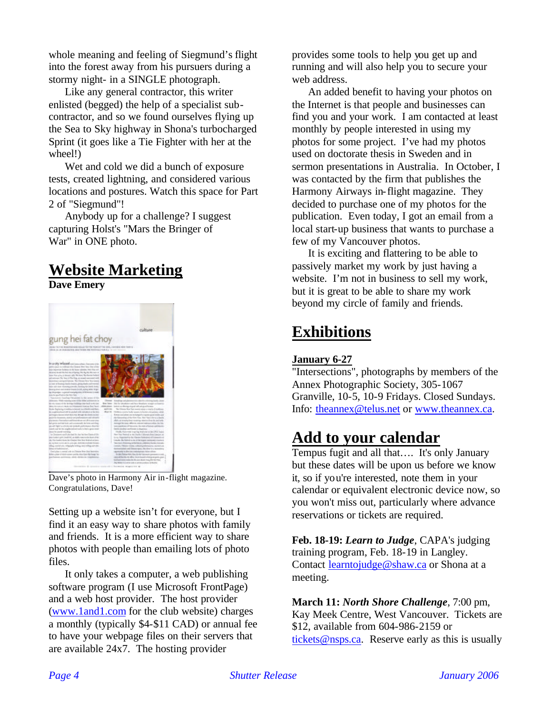whole meaning and feeling of Siegmund's flight into the forest away from his pursuers during a stormy night- in a SINGLE photograph.

Like any general contractor, this writer enlisted (begged) the help of a specialist subcontractor, and so we found ourselves flying up the Sea to Sky highway in Shona's turbocharged Sprint (it goes like a Tie Fighter with her at the wheel!)

Wet and cold we did a bunch of exposure tests, created lightning, and considered various locations and postures. Watch this space for Part 2 of "Siegmund"!

Anybody up for a challenge? I suggest capturing Holst's "Mars the Bringer of War" in ONE photo.

# **Website Marketing**

**Dave Emery**



Dave's photo in Harmony Air in-flight magazine. Congratulations, Dave!

Setting up a website isn't for everyone, but I find it an easy way to share photos with family and friends. It is a more efficient way to share photos with people than emailing lots of photo files.

It only takes a computer, a web publishing software program (I use Microsoft FrontPage) and a web host provider. The host provider (www.1and1.com for the club website) charges a monthly (typically \$4-\$11 CAD) or annual fee to have your webpage files on their servers that are available 24x7. The hosting provider

provides some tools to help you get up and running and will also help you to secure your web address.

An added benefit to having your photos on the Internet is that people and businesses can find you and your work. I am contacted at least monthly by people interested in using my photos for some project. I've had my photos used on doctorate thesis in Sweden and in sermon presentations in Australia. In October, I was contacted by the firm that publishes the Harmony Airways in-flight magazine. They decided to purchase one of my photos for the publication. Even today, I got an email from a local start-up business that wants to purchase a few of my Vancouver photos.

It is exciting and flattering to be able to passively market my work by just having a website. I'm not in business to sell my work, but it is great to be able to share my work beyond my circle of family and friends.

# **Exhibitions**

### **January 6-27**

"Intersections", photographs by members of the Annex Photographic Society, 305-1067 Granville, 10-5, 10-9 Fridays. Closed Sundays. Info: theannex@telus.net or www.theannex.ca.

## **Add to your calendar**

Tempus fugit and all that…. It's only January but these dates will be upon us before we know it, so if you're interested, note them in your calendar or equivalent electronic device now, so you won't miss out, particularly where advance reservations or tickets are required.

**Feb. 18-19:** *Learn to Judge*, CAPA's judging training program, Feb. 18-19 in Langley. Contact learntojudge@shaw.ca or Shona at a meeting.

**March 11:** *North Shore Challenge*, 7:00 pm, Kay Meek Centre, West Vancouver. Tickets are \$12, available from 604-986-2159 or tickets@nsps.ca. Reserve early as this is usually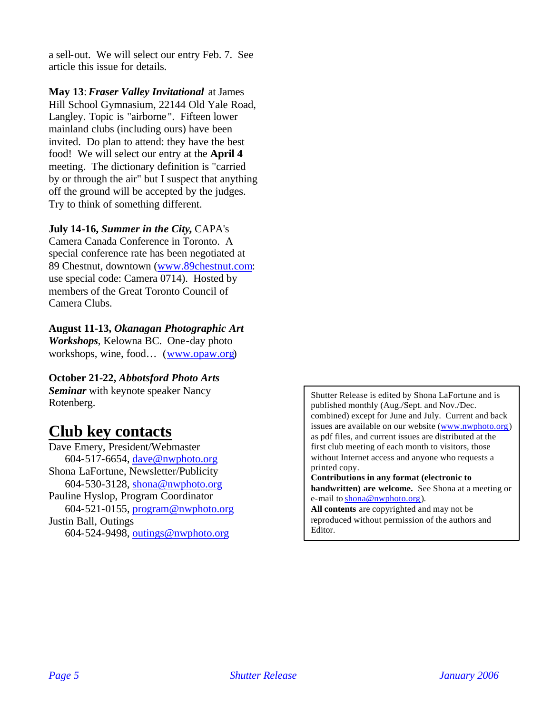a sell-out. We will select our entry Feb. 7. See article this issue for details.

**May 13**: *Fraser Valley Invitational* at James Hill School Gymnasium, 22144 Old Yale Road, Langley. Topic is "airborne ". Fifteen lower mainland clubs (including ours) have been invited. Do plan to attend: they have the best food! We will select our entry at the **April 4** meeting. The dictionary definition is "carried by or through the air" but I suspect that anything off the ground will be accepted by the judges. Try to think of something different.

#### **July 14-16,** *Summer in the City***,** CAPA's

Camera Canada Conference in Toronto. A special conference rate has been negotiated at 89 Chestnut, downtown (www.89chestnut.com: use special code: Camera 0714). Hosted by members of the Great Toronto Council of Camera Clubs.

#### **August 11-13,** *Okanagan Photographic Art*

*Workshops*, Kelowna BC. One-day photo workshops, wine, food… (www.opaw.org)

#### **October 21-22,** *Abbotsford Photo Arts*

*Seminar* with keynote speaker Nancy Rotenberg.

### **Club key contacts**

Dave Emery, President/Webmaster 604-517-6654, dave@nwphoto.org Shona LaFortune, Newsletter/Publicity 604-530-3128, shona@nwphoto.org Pauline Hyslop, Program Coordinator 604-521-0155, program@nwphoto.org Justin Ball, Outings 604-524-9498, outings@nwphoto.org

Shutter Release is edited by Shona LaFortune and is published monthly (Aug./Sept. and Nov./Dec. combined) except for June and July. Current and back issues are available on our website (www.nwphoto.org) as pdf files, and current issues are distributed at the first club meeting of each month to visitors, those without Internet access and anyone who requests a printed copy.

**Contributions in any format (electronic to handwritten) are welcome.** See Shona at a meeting or e-mail to shona@nwphoto.org).

**All contents** are copyrighted and may not be reproduced without permission of the authors and Editor.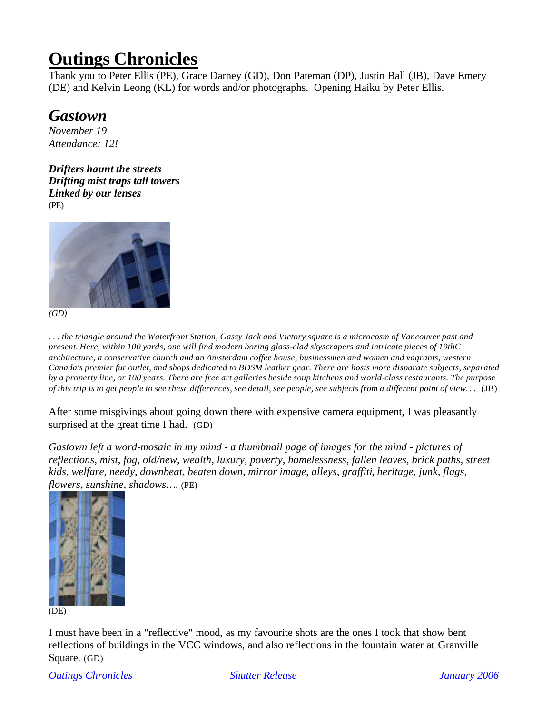# **Outings Chronicles**

Thank you to Peter Ellis (PE), Grace Darney (GD), Don Pateman (DP), Justin Ball (JB), Dave Emery (DE) and Kelvin Leong (KL) for words and/or photographs. Opening Haiku by Peter Ellis.

### *Gastown*

*November 19 Attendance: 12!*

*Drifters haunt the streets Drifting mist traps tall towers Linked by our lenses* (PE)



*(GD)*

*. . . the triangle around the Waterfront Station, Gassy Jack and Victory square is a microcosm of Vancouver past and present. Here, within 100 yards, one will find modern boring glass-clad skyscrapers and intricate pieces of 19thC architecture, a conservative church and an Amsterdam coffee house, businessmen and women and vagrants, western Canada's premier fur outlet, and shops dedicated to BDSM leather gear. There are hosts more disparate subjects, separated by a property line, or 100 years. There are free art galleries beside soup kitchens and world-class restaurants. The purpose of this trip is to get people to see these differences, see detail, see people, see subjects from a different point of view. . .* (JB)

After some misgivings about going down there with expensive camera equipment, I was pleasantly surprised at the great time I had. (GD)

*Gastown left a word-mosaic in my mind - a thumbnail page of images for the mind - pictures of reflections, mist, fog, old/new, wealth, luxury, poverty, homelessness, fallen leaves, brick paths, street kids, welfare, needy, downbeat, beaten down, mirror image, alleys, graffiti, heritage, junk, flags, flowers, sunshine, shadows….* (PE)



(DE)

I must have been in a "reflective" mood, as my favourite shots are the ones I took that show bent reflections of buildings in the VCC windows, and also reflections in the fountain water at Granville Square. (GD)

*Outings Chronicles Shutter Release January 2006*